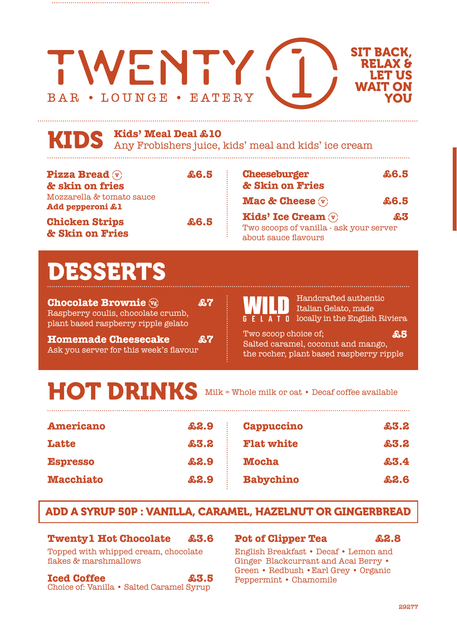#### SIT BACK, WENTY RELAX & LET US WAIT ON BAR • LOUNGE • EATERY YOU

## **Kids' Meal Deal £10**

KIDS Any Frobishers juice, kids' meal and kids' ice cream

| <b>Pizza Bread</b> $\mathbf{\nabla}$<br>& skin on fries | \$6.5 | <b>Cheeseburger</b><br>& Skin on Fries                                                                    | £6.5    |
|---------------------------------------------------------|-------|-----------------------------------------------------------------------------------------------------------|---------|
| Mozzarella & tomato sauce<br>Add pepperoni £1           |       | <b>Mac &amp; Cheese</b> $\mathbf{\overline{v}}$                                                           | \$6.5\$ |
| <b>Chicken Strips</b><br>& Skin on Fries                | \$6.5 | Kids' Ice Cream $\mathbf{\widehat{v}}$<br>Two scoops of vanilla - ask your server<br>about sauce flavours | £3.     |

# **ESSERTS**

**Chocolate Brownie**  $\mathbb{F}_2$  **£7** Raspberry coulis, chocolate crumb, plant based raspberry ripple gelato

**Homemade Cheesecake £7** Ask you server for this week's flavour

Handcrafted authentic Italian Gelato, made A I 0 locally in the English Riviera

Two scoop choice of; Salted caramel, coconut and mango, the rocher, plant based raspberry ripple **£5**

# HOT DRINKS

Milk = Whole milk or oat • Decaf coffee available

| <b>Americano</b> | £2.9    | <b>Cappuccino</b> | £3.2    |
|------------------|---------|-------------------|---------|
| <b>Latte</b>     | \$3.2\$ | <b>Flat white</b> | £3.2    |
| <b>Espresso</b>  | £2.9    | <b>Mocha</b>      | \$3.4\$ |
| <b>Macchiato</b> | £2.9    | <b>Babychino</b>  | £2.6    |

# ADD A SYRUP 50P : VANILLA, CARAMEL, HAZELNUT OR GINGERBREAD

## **Twenty1 Hot Chocolate £3.6**

Topped with whipped cream, chocolate flakes & marshmallows

#### **Iced Coffee £3.5** Choice of: Vanilla • Salted Caramel Syrup

## **Pot of Clipper Tea £2.8**

English Breakfast • Decaf • Lemon and Ginger Blackcurrant and Acai Berry • Green • Redbush •Earl Grey • Organic Peppermint • Chamomile